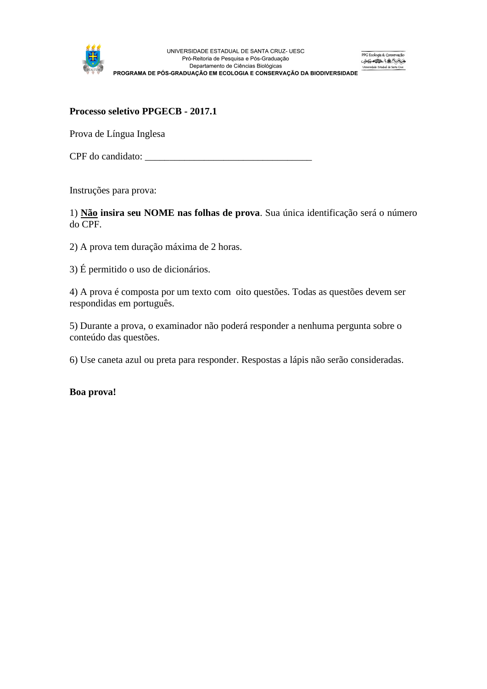

## **Processo seletivo PPGECB - 2017.1**

Prova de Língua Inglesa

CPF do candidato: \_\_\_\_\_\_\_\_\_\_\_\_\_\_\_\_\_\_\_\_\_\_\_\_\_\_\_\_\_\_\_\_\_\_

Instruções para prova:

1) **Não insira seu NOME nas folhas de prova**. Sua única identificação será o número do CPF.

- 2) A prova tem duração máxima de 2 horas.
- 3) É permitido o uso de dicionários.

4) A prova é composta por um texto com oito questões. Todas as questões devem ser respondidas em português.

5) Durante a prova, o examinador não poderá responder a nenhuma pergunta sobre o conteúdo das questões.

6) Use caneta azul ou preta para responder. Respostas a lápis não serão consideradas.

**Boa prova!**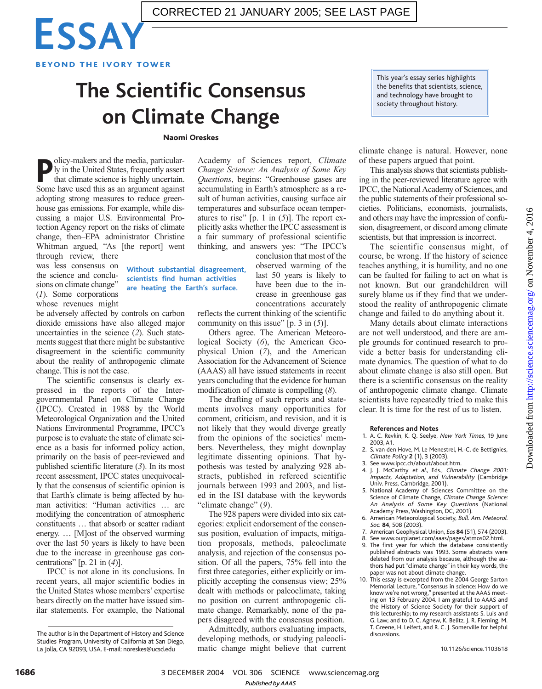

# **The Scientific Consensus on Climate Change**

### Naomi Oreskes

**Without substantial disagreement, scientists find human activities are heating the Earth's surface.**

**P** olicy-makers and the media, particularly in the United States, frequently assert that climate science is highly uncertain.<br>Some have used this as an argument against olicy-makers and the media, particularly in the United States, frequently assert that climate science is highly uncertain. adopting strong measures to reduce greenhouse gas emissions. For example, while discussing a major U.S. Environmental Protection Agency report on the risks of climate change, then–EPA administrator Christine Whitman argued, "As [the report] went

through review, there was less consensus on the science and conclusions on climate change" (*1*). Some corporations whose revenues might

be adversely affected by controls on carbon dioxide emissions have also alleged major uncertainties in the science (*2*). Such statements suggest that there might be substantive disagreement in the scientific community about the reality of anthropogenic climate change. This is not the case.

The scientific consensus is clearly expressed in the reports of the Intergovernmental Panel on Climate Change (IPCC). Created in 1988 by the World Meteorological Organization and the United Nations Environmental Programme, IPCC's purpose is to evaluate the state of climate science as a basis for informed policy action, primarily on the basis of peer-reviewed and published scientific literature (*3*). In its most recent assessment, IPCC states unequivocally that the consensus of scientific opinion is that Earth's climate is being affected by human activities: "Human activities … are modifying the concentration of atmospheric constituents … that absorb or scatter radiant energy. … [M]ost of the observed warming over the last 50 years is likely to have been due to the increase in greenhouse gas concentrations" [p. 21 in (*4*)].

IPCC is not alone in its conclusions. In recent years, all major scientific bodies in the United States whose members' expertise bears directly on the matter have issued similar statements. For example, the National Academy of Sciences report, *Climate Change Science: An Analysis of Some Key Questions*, begins: "Greenhouse gases are accumulating in Earth's atmosphere as a result of human activities, causing surface air temperatures and subsurface ocean temperatures to rise" [p. 1 in (*5*)]. The report explicitly asks whether the IPCC assessment is a fair summary of professional scientific thinking, and answers yes: "The IPCC's

> conclusion that most of the observed warming of the last 50 years is likely to have been due to the increase in greenhouse gas concentrations accurately

reflects the current thinking of the scientific community on this issue" [p. 3 in (*5*)].

Others agree. The American Meteorological Society (*6*), the American Geophysical Union (*7*), and the American Association for the Advancement of Science (AAAS) all have issued statements in recent years concluding that the evidence for human modification of climate is compelling (*8*).

The drafting of such reports and statements involves many opportunities for comment, criticism, and revision, and it is not likely that they would diverge greatly from the opinions of the societies' members. Nevertheless, they might downplay legitimate dissenting opinions. That hypothesis was tested by analyzing 928 abstracts, published in refereed scientific journals between 1993 and 2003, and listed in the ISI database with the keywords "climate change" (*9*).

The 928 papers were divided into six categories: explicit endorsement of the consensus position, evaluation of impacts, mitigation proposals, methods, paleoclimate analysis, and rejection of the consensus position. Of all the papers, 75% fell into the first three categories, either explicitly or implicitly accepting the consensus view; 25% dealt with methods or paleoclimate, taking no position on current anthropogenic climate change. Remarkably, none of the papers disagreed with the consensus position.

Admittedly, authors evaluating impacts, developing methods, or studying paleoclimatic change might believe that current

This year's essay series highlights the benefits that scientists, science, and technology have brought to society throughout history.

climate change is natural. However, none of these papers argued that point.

This analysis shows that scientists publishing in the peer-reviewed literature agree with IPCC, the National Academy of Sciences, and the public statements of their professional societies. Politicians, economists, journalists, and others may have the impression of confusion, disagreement, or discord among climate scientists, but that impression is incorrect.

The scientific consensus might, of course, be wrong. If the history of science teaches anything, it is humility, and no one can be faulted for failing to act on what is not known. But our grandchildren will surely blame us if they find that we understood the reality of anthropogenic climate change and failed to do anything about it.

Many details about climate interactions are not well understood, and there are ample grounds for continued research to provide a better basis for understanding climate dynamics. The question of what to do about climate change is also still open. But there is a scientific consensus on the reality of anthropogenic climate change. Climate scientists have repeatedly tried to make this clear. It is time for the rest of us to listen.

#### **References and Notes**

- 1. A. C. Revkin, K. Q. Seelye, New York Times, 19 June 2003, A1.
- 2. S. van den Hove, M. Le Menestrel, H.-C. de Bettignies, Climate Policy **2** (1), 3 (2003).
- 3. See www.ipcc.ch/about/about.htm.
- 4. J. J. McCarthy et al., Eds., Climate Change 2001: Impacts, Adaptation, and Vulnerability (Cambridge Univ. Press, Cambridge, 2001). 5. National Academy of Sciences Committee on the
- Science of Climate Change, Climate Change Science: An Analysis of Some Key Questions (National Academy Press, Washington, DC, 2001).
- 6. American Meteorological Society, Bull. Am. Meteorol. Soc. **84**, 508 (2003).
- 7. American Geophysical Union, Eos **84** (51), 574 (2003).
- 8. See www.ourplanet.com/aaas/pages/atmos02.html.
- 9. The first year for which the database consistently published abstracts was 1993. Some abstracts were deleted from our analysis because, although the authors had put "climate change" in their key words, the paper was not about climate change.
- 10. This essay is excerpted from the 2004 George Sarton Memorial Lecture, "Consensus in science: How do we know we're not wrong," presented at the AAAS meet-ing on 13 February 2004. I am grateful to AAAS and the History of Science Society for their support of this lectureship; to my research assistants S. Luis and G. Law; and to D. C. Agnew, K. Belitz, J. R. Fleming, M. T. Greene, H. Leifert, and R. C. J. Somerville for helpful discussions.

3 DECEMBER 2004 VOL 306 SCIENCE www.sciencemag.org *Published byAAAS*

The author is in the Department of History and Science Studies Program, University of California at San Diego, La Jolla, CA 92093, USA. E-mail: noreskes@ucsd.edu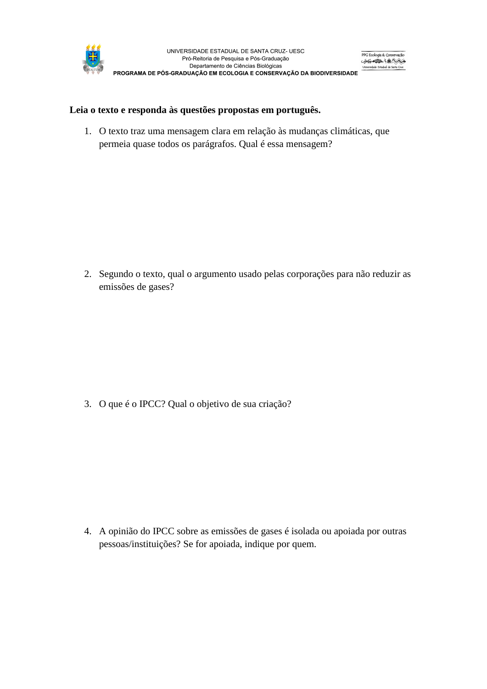

## **Leia o texto e responda às questões propostas em português.**

1. O texto traz uma mensagem clara em relação às mudanças climáticas, que permeia quase todos os parágrafos. Qual é essa mensagem?

2. Segundo o texto, qual o argumento usado pelas corporações para não reduzir as emissões de gases?

3. O que é o IPCC? Qual o objetivo de sua criação?

4. A opinião do IPCC sobre as emissões de gases é isolada ou apoiada por outras pessoas/instituições? Se for apoiada, indique por quem.